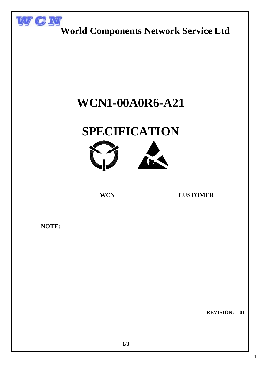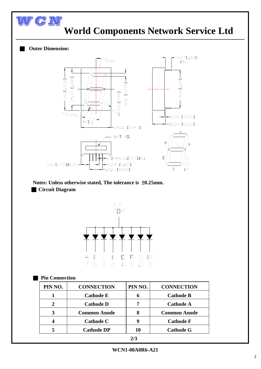

#### **Notes: Unless otherwise stated, The tolerance is** ±**0.25mm.** ■ **Circuit Diagram**



**Pin Connection** 

| PIN NO. | <b>CONNECTION</b>   | PIN NO. | <b>CONNECTION</b>   |
|---------|---------------------|---------|---------------------|
|         | <b>Cathode E</b>    |         | <b>Cathode B</b>    |
| 2       | <b>Cathode D</b>    |         | <b>Cathode A</b>    |
| 3       | <b>Common Anode</b> |         | <b>Common Anode</b> |
|         | <b>Cathode C</b>    | g       | <b>Cathode F</b>    |
| 5       | <b>Cathode DP</b>   | 10      | <b>Cathode G</b>    |